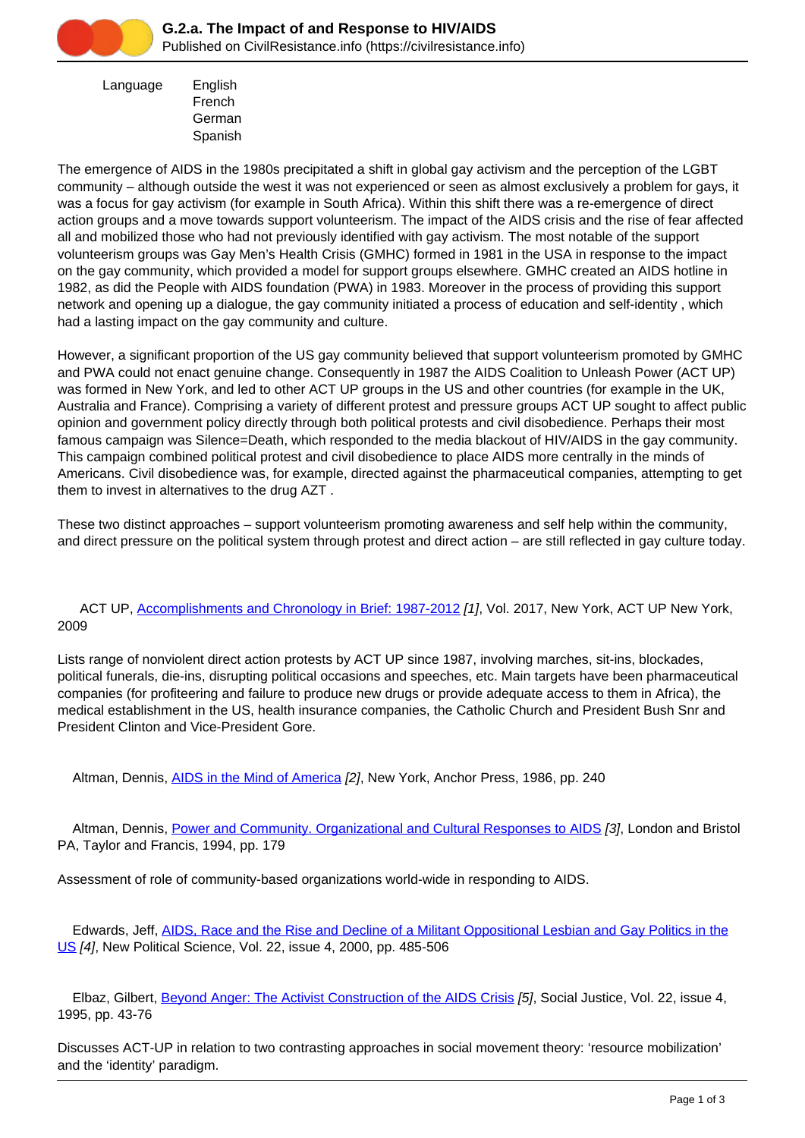

 Language English French German Spanish

The emergence of AIDS in the 1980s precipitated a shift in global gay activism and the perception of the LGBT community – although outside the west it was not experienced or seen as almost exclusively a problem for gays, it was a focus for gay activism (for example in South Africa). Within this shift there was a re-emergence of direct action groups and a move towards support volunteerism. The impact of the AIDS crisis and the rise of fear affected all and mobilized those who had not previously identified with gay activism. The most notable of the support volunteerism groups was Gay Men's Health Crisis (GMHC) formed in 1981 in the USA in response to the impact on the gay community, which provided a model for support groups elsewhere. GMHC created an AIDS hotline in 1982, as did the People with AIDS foundation (PWA) in 1983. Moreover in the process of providing this support network and opening up a dialogue, the gay community initiated a process of education and self-identity , which had a lasting impact on the gay community and culture.

However, a significant proportion of the US gay community believed that support volunteerism promoted by GMHC and PWA could not enact genuine change. Consequently in 1987 the AIDS Coalition to Unleash Power (ACT UP) was formed in New York, and led to other ACT UP groups in the US and other countries (for example in the UK, Australia and France). Comprising a variety of different protest and pressure groups ACT UP sought to affect public opinion and government policy directly through both political protests and civil disobedience. Perhaps their most famous campaign was Silence=Death, which responded to the media blackout of HIV/AIDS in the gay community. This campaign combined political protest and civil disobedience to place AIDS more centrally in the minds of Americans. Civil disobedience was, for example, directed against the pharmaceutical companies, attempting to get them to invest in alternatives to the drug AZT .

These two distinct approaches – support volunteerism promoting awareness and self help within the community, and direct pressure on the political system through protest and direct action – are still reflected in gay culture today.

## ACT UP, [Accomplishments and Chronology in Brief: 1987-2012](https://civilresistance.info/biblio-item/2009/accomplishments-and-chronology-brief-1987-2012) [1], Vol. 2017, New York, ACT UP New York, 2009

Lists range of nonviolent direct action protests by ACT UP since 1987, involving marches, sit-ins, blockades, political funerals, die-ins, disrupting political occasions and speeches, etc. Main targets have been pharmaceutical companies (for profiteering and failure to produce new drugs or provide adequate access to them in Africa), the medical establishment in the US, health insurance companies, the Catholic Church and President Bush Snr and President Clinton and Vice-President Gore.

Altman, Dennis, [AIDS in the Mind of America](https://civilresistance.info/biblio-item/1986/aids-mind-america) [2], New York, Anchor Press, 1986, pp. 240

 Altman, Dennis, [Power and Community. Organizational and Cultural Responses to AIDS](https://civilresistance.info/biblio-item/1994/power-and-community-organizational-and-cultural-responses-aids) [3], London and Bristol PA, Taylor and Francis, 1994, pp. 179

Assessment of role of community-based organizations world-wide in responding to AIDS.

 Edwards, Jeff, [AIDS, Race and the Rise and Decline of a Militant Oppositional Lesbian and Gay Politics in the](https://civilresistance.info/biblio-item/2000/aids-race-and-rise-and-decline-militant-oppositional-lesbian-and-gay-politics-us) [US](https://civilresistance.info/biblio-item/2000/aids-race-and-rise-and-decline-militant-oppositional-lesbian-and-gay-politics-us) [4], New Political Science, Vol. 22, issue 4, 2000, pp. 485-506

Elbaz, Gilbert, [Beyond Anger: The Activist Construction of the AIDS Crisis](https://civilresistance.info/biblio-item/1995/beyond-anger-activist-construction-aids-crisis) [5], Social Justice, Vol. 22, issue 4, 1995, pp. 43-76

Discusses ACT-UP in relation to two contrasting approaches in social movement theory: 'resource mobilization' and the 'identity' paradigm.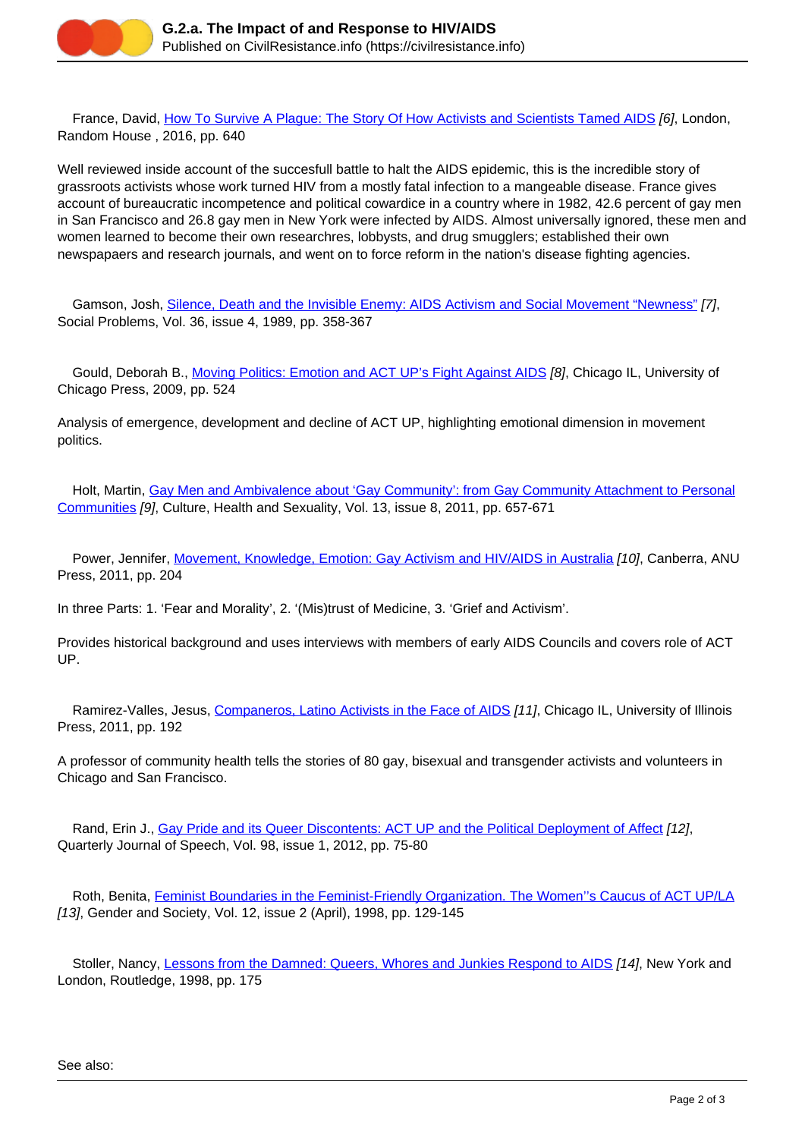

 France, David, [How To Survive A Plague: The Story Of How Activists and Scientists Tamed AIDS](https://civilresistance.info/biblio-item/2016/how-survive-plague-story-how-activists-and-scientists-tamed-aids) [6], London, Random House , 2016, pp. 640

Well reviewed inside account of the succesfull battle to halt the AIDS epidemic, this is the incredible story of grassroots activists whose work turned HIV from a mostly fatal infection to a mangeable disease. France gives account of bureaucratic incompetence and political cowardice in a country where in 1982, 42.6 percent of gay men in San Francisco and 26.8 gay men in New York were infected by AIDS. Almost universally ignored, these men and women learned to become their own researchres, lobbysts, and drug smugglers; established their own newspapaers and research journals, and went on to force reform in the nation's disease fighting agencies.

Gamson, Josh, [Silence, Death and the Invisible Enemy: AIDS Activism and Social Movement "Newness"](https://civilresistance.info/biblio-item/1989/silence-death-and-invisible-enemy-aids-activism-and-social-movement-newness) [7]. Social Problems, Vol. 36, issue 4, 1989, pp. 358-367

Gould, Deborah B., [Moving Politics: Emotion and ACT UP's Fight Against AIDS](https://civilresistance.info/biblio-item/2009/moving-politics-emotion-and-act-ups-fight-against-aids) [8], Chicago IL, University of Chicago Press, 2009, pp. 524

Analysis of emergence, development and decline of ACT UP, highlighting emotional dimension in movement politics.

Holt, Martin, [Gay Men and Ambivalence about 'Gay Community': from Gay Community Attachment to Personal](https://civilresistance.info/biblio-item/2011/gay-men-and-ambivalence-about-gay-community-gay-community-attachment-personal) [Communities](https://civilresistance.info/biblio-item/2011/gay-men-and-ambivalence-about-gay-community-gay-community-attachment-personal) [9], Culture, Health and Sexuality, Vol. 13, issue 8, 2011, pp. 657-671

Power, Jennifer, [Movement, Knowledge, Emotion: Gay Activism and HIV/AIDS in Australia](https://civilresistance.info/biblio-item/2011/movement-knowledge-emotion-gay-activism-and-hiv-aids-australia) [10], Canberra, ANU Press, 2011, pp. 204

In three Parts: 1. 'Fear and Morality', 2. '(Mis)trust of Medicine, 3. 'Grief and Activism'.

Provides historical background and uses interviews with members of early AIDS Councils and covers role of ACT UP.

Ramirez-Valles, Jesus, [Companeros, Latino Activists in the Face of AIDS](https://civilresistance.info/biblio-item/2011/companeros-latino-activists-face-aids) [11], Chicago IL, University of Illinois Press, 2011, pp. 192

A professor of community health tells the stories of 80 gay, bisexual and transgender activists and volunteers in Chicago and San Francisco.

Rand, Erin J., [Gay Pride and its Queer Discontents: ACT UP and the Political Deployment of Affect](https://civilresistance.info/biblio-item/2012/gay-pride-and-its-queer-discontents-act-and-political-deployment-affect) [12], Quarterly Journal of Speech, Vol. 98, issue 1, 2012, pp. 75-80

 Roth, Benita, [Feminist Boundaries in the Feminist-Friendly Organization. The Women''s Caucus of ACT UP/LA](https://civilresistance.info/biblio-item/1998/feminist-boundaries-feminist-friendly-organization-womens-caucus-act-la) [13], Gender and Society, Vol. 12, issue 2 (April), 1998, pp. 129-145

Stoller, Nancy, [Lessons from the Damned: Queers, Whores and Junkies Respond to AIDS](https://civilresistance.info/biblio-item/1998/lessons-damned-queers-whores-and-junkies-respond-aids) [14], New York and London, Routledge, 1998, pp. 175